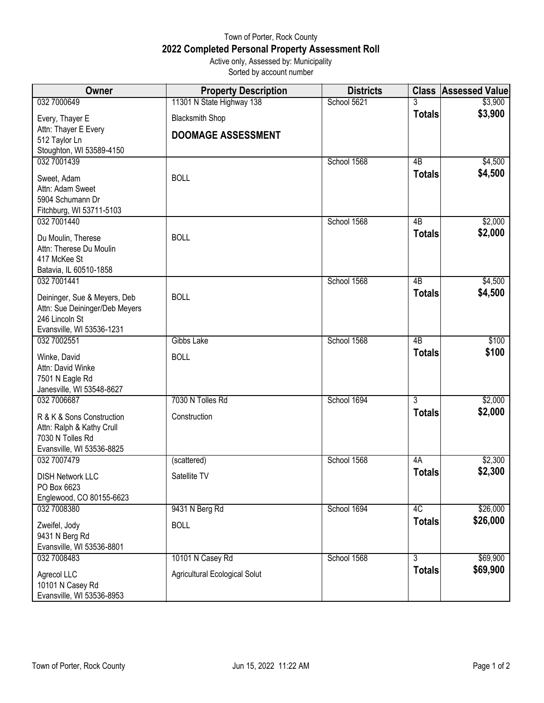## Town of Porter, Rock County **2022 Completed Personal Property Assessment Roll** Active only, Assessed by: Municipality

Sorted by account number

| Owner                                                  | <b>Property Description</b>          | <b>Districts</b> |                | <b>Class Assessed Value</b> |
|--------------------------------------------------------|--------------------------------------|------------------|----------------|-----------------------------|
| 032 7000649                                            | 11301 N State Highway 138            | School 5621      |                | \$3,900                     |
| Every, Thayer E                                        | <b>Blacksmith Shop</b>               |                  | <b>Totals</b>  | \$3,900                     |
| Attn: Thayer E Every                                   | <b>DOOMAGE ASSESSMENT</b>            |                  |                |                             |
| 512 Taylor Ln<br>Stoughton, WI 53589-4150              |                                      |                  |                |                             |
| 032 7001439                                            |                                      | School 1568      | 4B             | \$4,500                     |
| Sweet, Adam                                            | <b>BOLL</b>                          |                  | <b>Totals</b>  | \$4,500                     |
| Attn: Adam Sweet                                       |                                      |                  |                |                             |
| 5904 Schumann Dr                                       |                                      |                  |                |                             |
| Fitchburg, WI 53711-5103<br>032 7001440                |                                      | School 1568      | 4B             | \$2,000                     |
|                                                        |                                      |                  | <b>Totals</b>  | \$2,000                     |
| Du Moulin, Therese<br>Attn: Therese Du Moulin          | <b>BOLL</b>                          |                  |                |                             |
| 417 McKee St                                           |                                      |                  |                |                             |
| Batavia, IL 60510-1858                                 |                                      |                  |                |                             |
| 032 7001441                                            |                                      | School 1568      | 4B             | \$4,500                     |
| Deininger, Sue & Meyers, Deb                           | <b>BOLL</b>                          |                  | <b>Totals</b>  | \$4,500                     |
| Attn: Sue Deininger/Deb Meyers                         |                                      |                  |                |                             |
| 246 Lincoln St<br>Evansville, WI 53536-1231            |                                      |                  |                |                             |
| 032 7002551                                            | Gibbs Lake                           | School 1568      | 4B             | \$100                       |
| Winke, David                                           | <b>BOLL</b>                          |                  | <b>Totals</b>  | \$100                       |
| Attn: David Winke                                      |                                      |                  |                |                             |
| 7501 N Eagle Rd                                        |                                      |                  |                |                             |
| Janesville, WI 53548-8627<br>032 7006687               | 7030 N Tolles Rd                     | School 1694      | 3              | \$2,000                     |
|                                                        |                                      |                  | <b>Totals</b>  | \$2,000                     |
| R & K & Sons Construction<br>Attn: Ralph & Kathy Crull | Construction                         |                  |                |                             |
| 7030 N Tolles Rd                                       |                                      |                  |                |                             |
| Evansville, WI 53536-8825                              |                                      |                  |                |                             |
| 032 7007479                                            | (scattered)                          | School 1568      | 4A             | \$2,300                     |
| <b>DISH Network LLC</b>                                | Satellite TV                         |                  | <b>Totals</b>  | \$2,300                     |
| PO Box 6623                                            |                                      |                  |                |                             |
| Englewood, CO 80155-6623<br>032 7008380                | 9431 N Berg Rd                       | School 1694      | 4C             | \$26,000                    |
|                                                        | <b>BOLL</b>                          |                  | <b>Totals</b>  | \$26,000                    |
| Zweifel, Jody<br>9431 N Berg Rd                        |                                      |                  |                |                             |
| Evansville, WI 53536-8801                              |                                      |                  |                |                             |
| 032 7008483                                            | 10101 N Casey Rd                     | School 1568      | $\overline{3}$ | \$69,900                    |
| Agrecol LLC                                            | <b>Agricultural Ecological Solut</b> |                  | <b>Totals</b>  | \$69,900                    |
| 10101 N Casey Rd                                       |                                      |                  |                |                             |
| Evansville, WI 53536-8953                              |                                      |                  |                |                             |